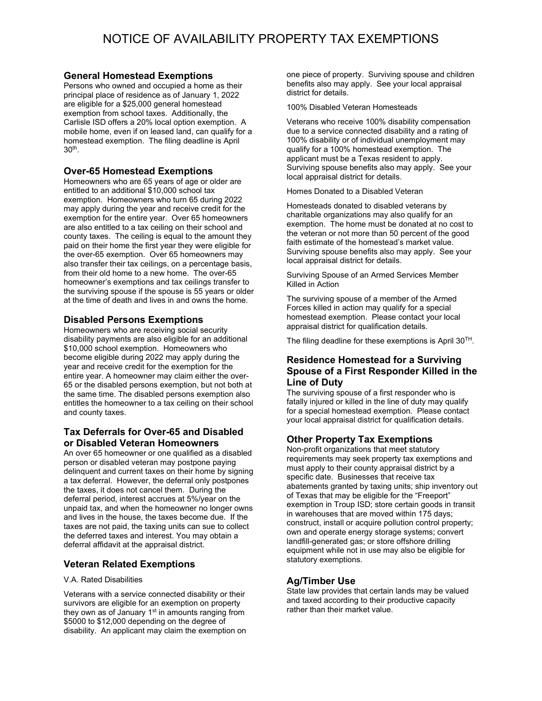# **General Homestead Exemptions**

Persons who owned and occupied a home as their principal place of residence as of January 1, 2022 are eligible for a \$25,000 general homestead exemption from school taxes. Additionally, the Carlisle ISD offers a 20% local option exemption. A mobile home, even if on leased land, can qualify for a homestead exemption. The filing deadline is April 30th .

## **Over-65 Homestead Exemptions**

Homeowners who are 65 years of age or older are entitled to an additional \$10,000 school tax exemption. Homeowners who turn 65 during 2022 may apply during the year and receive credit for the exemption for the entire year. Over 65 homeowners are also entitled to a tax ceiling on their school and county taxes. The ceiling is equal to the amount they paid on their home the first year they were eligible for the over-65 exemption. Over 65 homeowners may also transfer their tax ceilings, on a percentage basis, from their old home to a new home. The over-65 homeowner's exemptions and tax ceilings transfer to the surviving spouse if the spouse is 55 years or older at the time of death and lives in and owns the home.

## **Disabled Persons Exemptions**

Homeowners who are receiving social security disability payments are also eligible for an additional \$10,000 school exemption. Homeowners who become eligible during 2022 may apply during the year and receive credit for the exemption for the entire year. A homeowner may claim either the over-65 or the disabled persons exemption, but not both at the same time. The disabled persons exemption also entitles the homeowner to a tax ceiling on their school and county taxes.

## **Tax Deferrals for Over-65 and Disabled or Disabled Veteran Homeowners**

An over 65 homeowner or one qualified as a disabled person or disabled veteran may postpone paying delinquent and current taxes on their home by signing a tax deferral. However, the deferral only postpones the taxes, it does not cancel them. During the deferral period, interest accrues at 5%/year on the unpaid tax, and when the homeowner no longer owns and lives in the house, the taxes become due. If the taxes are not paid, the taxing units can sue to collect the deferred taxes and interest. You may obtain a deferral affidavit at the appraisal district.

# **Veteran Related Exemptions**

### V.A. Rated Disabilities

Veterans with a service connected disability or their survivors are eligible for an exemption on property they own as of January  $1<sup>st</sup>$  in amounts ranging from \$5000 to \$12,000 depending on the degree of disability. An applicant may claim the exemption on one piece of property. Surviving spouse and children benefits also may apply. See your local appraisal district for details.

100% Disabled Veteran Homesteads

Veterans who receive 100% disability compensation due to a service connected disability and a rating of 100% disability or of individual unemployment may qualify for a 100% homestead exemption. The applicant must be a Texas resident to apply. Surviving spouse benefits also may apply. See your local appraisal district for details.

Homes Donated to a Disabled Veteran

Homesteads donated to disabled veterans by charitable organizations may also qualify for an exemption. The home must be donated at no cost to the veteran or not more than 50 percent of the good faith estimate of the homestead's market value. Surviving spouse benefits also may apply. See your local appraisal district for details.

Surviving Spouse of an Armed Services Member Killed in Action

The surviving spouse of a member of the Armed Forces killed in action may qualify for a special homestead exemption. Please contact your local appraisal district for qualification details.

The filing deadline for these exemptions is April 30<sup>TH</sup>.

## **Residence Homestead for a Surviving Spouse of a First Responder Killed in the Line of Duty**

The surviving spouse of a first responder who is fatally injured or killed in the line of duty may qualify for a special homestead exemption. Please contact your local appraisal district for qualification details.

## **Other Property Tax Exemptions**

Non-profit organizations that meet statutory requirements may seek property tax exemptions and must apply to their county appraisal district by a specific date. Businesses that receive tax abatements granted by taxing units; ship inventory out of Texas that may be eligible for the "Freeport" exemption in Troup ISD; store certain goods in transit in warehouses that are moved within 175 days; construct, install or acquire pollution control property; own and operate energy storage systems; convert landfill-generated gas; or store offshore drilling equipment while not in use may also be eligible for statutory exemptions.

# **Ag/Timber Use**

State law provides that certain lands may be valued and taxed according to their productive capacity rather than their market value.